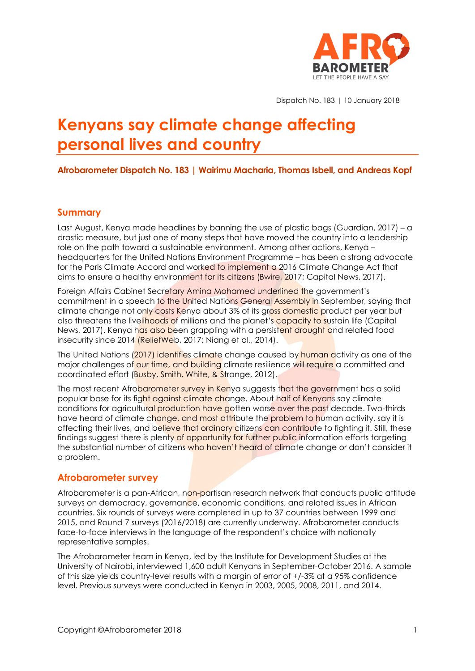

Dispatch No. 183 | 10 January 2018

# **Kenyans say climate change affecting personal lives and country**

**Afrobarometer Dispatch No. 183 | Wairimu Macharia, Thomas Isbell, and Andreas Kopf**

#### **Summary**

Last August, Kenya made headlines by banning the use of plastic bags (Guardian, 2017) – a drastic measure, but just one of many steps that have moved the country into a leadership role on the path toward a sustainable environment. Among other actions, Kenya – headquarters for the United Nations Environment Programme – has been a strong advocate for the Paris Climate Accord and worked to implement a 2016 Climate Change Act that aims to ensure a healthy environment for its citizens (Bwire, 2017; Capital News, 2017).

Foreign Affairs Cabinet Secretary Amina Mohamed underlined the government's commitment in a speech to the United Nations General Assembly in September, saying that climate change not only costs Kenya about 3% of its gross domestic product per year but also threatens the livelihoods of millions and the planet's capacity to sustain life (Capital News, 2017). Kenya has also been grappling with a persistent drought and related food insecurity since 2014 (ReliefWeb, 2017; Niang et al., 2014).

The United Nations (2017) identifies climate change caused by human activity as one of the major challenges of our time, and building climate resilience will require a committed and coordinated effort (Busby, Smith, White, & Strange, 2012).

The most recent Afrobarometer survey in Kenya suggests that the government has a solid popular base for its fight against climate change. About half of Kenyans say climate conditions for agricultural production have gotten worse over the past decade. Two-thirds have heard of climate change, and most attribute the problem to human activity, say it is affecting their lives, and believe that ordinary citizens can contribute to fighting it. Still, these findings suggest there is plenty of opportunity for further public information efforts targeting the substantial number of citizens who haven't heard of climate change or don't consider it a problem.

## **Afrobarometer survey**

Afrobarometer is a pan-African, non-partisan research network that conducts public attitude surveys on democracy, governance, economic conditions, and related issues in African countries. Six rounds of surveys were completed in up to 37 countries between 1999 and 2015, and Round 7 surveys (2016/2018) are currently underway. Afrobarometer conducts face-to-face interviews in the language of the respondent's choice with nationally representative samples.

The Afrobarometer team in Kenya, led by the Institute for Development Studies at the University of Nairobi, interviewed 1,600 adult Kenyans in September-October 2016. A sample of this size yields country-level results with a margin of error of +/-3% at a 95% confidence level. Previous surveys were conducted in Kenya in 2003, 2005, 2008, 2011, and 2014.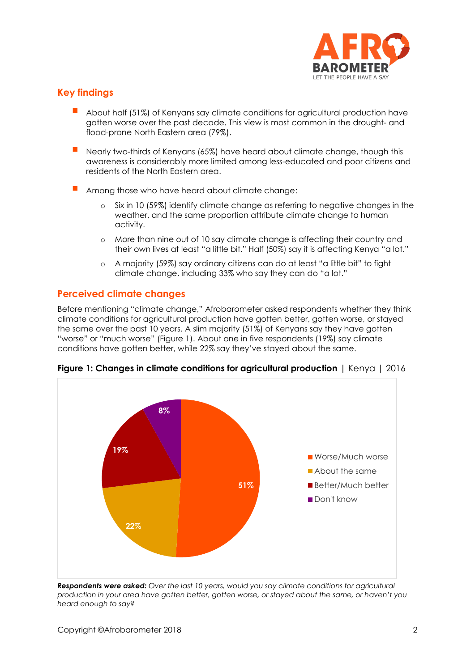

## **Key findings**

- About half (51%) of Kenyans say climate conditions for agricultural production have gotten worse over the past decade. This view is most common in the drought- and flood-prone North Eastern area (79%).
- Nearly two-thirds of Kenyans (65%) have heard about climate change, though this awareness is considerably more limited among less-educated and poor citizens and residents of the North Eastern area.
- Among those who have heard about climate change:
	- Six in 10 (59%) identify climate change as referring to negative changes in the weather, and the same proportion attribute climate change to human activity.
	- o More than nine out of 10 say climate change is affecting their country and their own lives at least "a little bit." Half (50%) say it is affecting Kenya "a lot."
	- o A majority (59%) say ordinary citizens can do at least "a little bit" to fight climate change, including 33% who say they can do "a lot."

## **Perceived climate changes**

Before mentioning "climate change," Afrobarometer asked respondents whether they think climate conditions for agricultural production have gotten better, gotten worse, or stayed the same over the past 10 years. A slim majority (51%) of Kenyans say they have gotten "worse" or "much worse" (Figure 1). About one in five respondents (19%) say climate conditions have gotten better, while 22% say they've stayed about the same.



**Figure 1: Changes in climate conditions for agricultural production** | Kenya | 2016

*Respondents were asked: Over the last 10 years, would you say climate conditions for agricultural production in your area have gotten better, gotten worse, or stayed about the same, or haven't you heard enough to say?*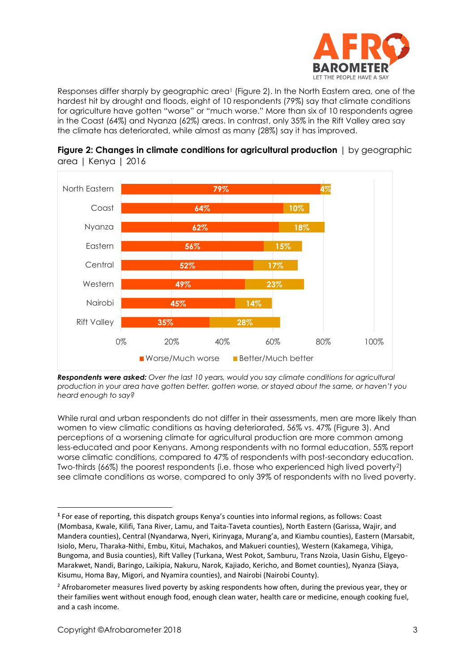

Responses differ sharply by geographic area<sup>1</sup> (Figure 2). In the North Eastern area, one of the hardest hit by drought and floods, eight of 10 respondents (79%) say that climate conditions for agriculture have gotten "worse" or "much worse." More than six of 10 respondents agree in the Coast (64%) and Nyanza (62%) areas. In contrast, only 35% in the Rift Valley area say the climate has deteriorated, while almost as many (28%) say it has improved.





*Respondents were asked: Over the last 10 years, would you say climate conditions for agricultural production in your area have gotten better, gotten worse, or stayed about the same, or haven't you heard enough to say?*

While rural and urban respondents do not differ in their assessments, men are more likely than women to view climatic conditions as having deteriorated, 56% vs. 47% (Figure 3). And perceptions of a worsening climate for agricultural production are more common among less-educated and poor Kenyans. Among respondents with no formal education, 55% report worse climatic conditions, compared to 47% of respondents with post-secondary education. Two-thirds (66%) the poorest respondents (i.e. those who experienced high lived poverty2) see climate conditions as worse, compared to only 39% of respondents with no lived poverty.

**<sup>1</sup>** For ease of reporting, this dispatch groups Kenya's counties into informal regions, as follows: Coast (Mombasa, Kwale, Kilifi, Tana River, Lamu, and Taita-Taveta counties), North Eastern (Garissa, Wajir, and Mandera counties), Central (Nyandarwa, Nyeri, Kirinyaga, Murang'a, and Kiambu counties), Eastern (Marsabit, Isiolo, Meru, Tharaka-Nithi, Embu, Kitui, Machakos, and Makueri counties), Western (Kakamega, Vihiga, Bungoma, and Busia counties), Rift Valley (Turkana, West Pokot, Samburu, Trans Nzoia, Uasin Gishu, Elgeyo-Marakwet, Nandi, Baringo, Laikipia, Nakuru, Narok, Kajiado, Kericho, and Bomet counties), Nyanza (Siaya, Kisumu, Homa Bay, Migori, and Nyamira counties), and Nairobi (Nairobi County).

<sup>&</sup>lt;sup>2</sup> Afrobarometer measures lived poverty by asking respondents how often, during the previous year, they or their families went without enough food, enough clean water, health care or medicine, enough cooking fuel, and a cash income.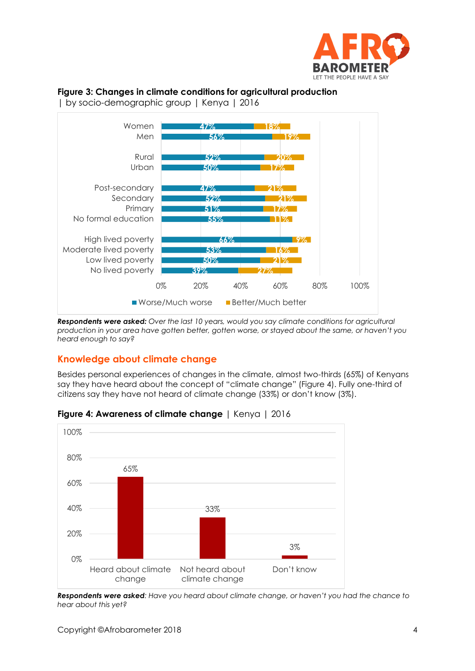

## **Figure 3: Changes in climate conditions for agricultural production**

| by socio-demographic group | Kenya | 2016



*Respondents were asked: Over the last 10 years, would you say climate conditions for agricultural* 

*production in your area have gotten better, gotten worse, or stayed about the same, or haven't you heard enough to say?*

## **Knowledge about climate change**

Besides personal experiences of changes in the climate, almost two-thirds (65%) of Kenyans say they have heard about the concept of "climate change" (Figure 4). Fully one-third of citizens say they have not heard of climate change (33%) or don't know (3%).



## **Figure 4: Awareness of climate change** | Kenya | 2016

*Respondents were asked: Have you heard about climate change, or haven't you had the chance to hear about this yet?*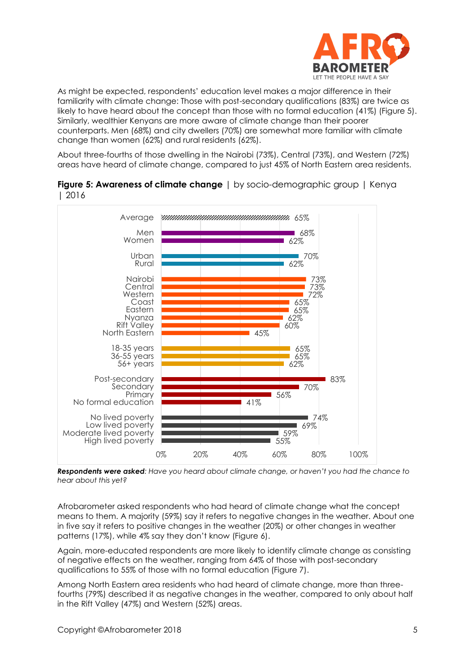

As might be expected, respondents' education level makes a major difference in their familiarity with climate change: Those with post-secondary qualifications (83%) are twice as likely to have heard about the concept than those with no formal education (41%) (Figure 5). Similarly, wealthier Kenyans are more aware of climate change than their poorer counterparts. Men (68%) and city dwellers (70%) are somewhat more familiar with climate change than women (62%) and rural residents (62%).

About three-fourths of those dwelling in the Nairobi (73%), Central (73%), and Western (72%) areas have heard of climate change, compared to just 45% of North Eastern area residents.





*Respondents were asked: Have you heard about climate change, or haven't you had the chance to hear about this yet?*

Afrobarometer asked respondents who had heard of climate change what the concept means to them. A majority (59%) say it refers to negative changes in the weather. About one in five say it refers to positive changes in the weather (20%) or other changes in weather patterns (17%), while 4% say they don't know (Figure 6).

Again, more-educated respondents are more likely to identify climate change as consisting of negative effects on the weather, ranging from 64% of those with post-secondary qualifications to 55% of those with no formal education (Figure 7).

Among North Eastern area residents who had heard of climate change, more than threefourths (79%) described it as negative changes in the weather, compared to only about half in the Rift Valley (47%) and Western (52%) areas.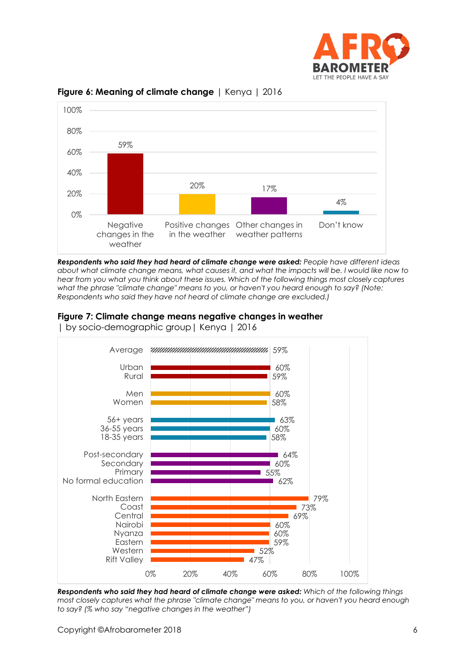



#### **Figure 6: Meaning of climate change** | Kenya | 2016

*Respondents who said they had heard of climate change were asked: People have different ideas about what climate change means, what causes it, and what the impacts will be. I would like now to hear from you what you think about these issues. Which of the following things most closely captures what the phrase "climate change" means to you, or haven't you heard enough to say? (Note: Respondents who said they have not heard of climate change are excluded.)*

## **Figure 7: Climate change means negative changes in weather**



| by socio-demographic group| Kenya | 2016

*Respondents who said they had heard of climate change were asked: Which of the following things most closely captures what the phrase "climate change" means to you, or haven't you heard enough to say? (% who say "negative changes in the weather")*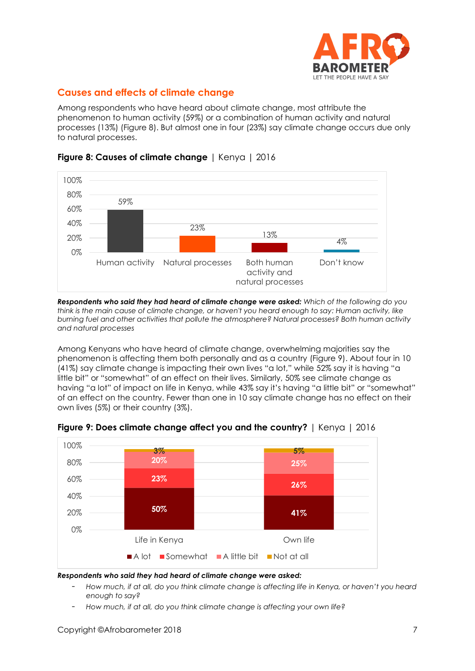

# **Causes and effects of climate change**

Among respondents who have heard about climate change, most attribute the phenomenon to human activity (59%) or a combination of human activity and natural processes (13%) (Figure 8). But almost one in four (23%) say climate change occurs due only to natural processes.



#### **Figure 8: Causes of climate change** | Kenya | 2016

*Respondents who said they had heard of climate change were asked: Which of the following do you think is the main cause of climate change, or haven't you heard enough to say: Human activity, like burning fuel and other activities that pollute the atmosphere? Natural processes? Both human activity and natural processes*

Among Kenyans who have heard of climate change, overwhelming majorities say the phenomenon is affecting them both personally and as a country (Figure 9). About four in 10 (41%) say climate change is impacting their own lives "a lot," while 52% say it is having "a little bit" or "somewhat" of an effect on their lives. Similarly, 50% see climate change as having "a lot" of impact on life in Kenya, while 43% say it's having "a little bit" or "somewhat" of an effect on the country. Fewer than one in 10 say climate change has no effect on their own lives (5%) or their country (3%).



#### **Figure 9: Does climate change affect you and the country?** | Kenya | 2016

#### *Respondents who said they had heard of climate change were asked:*

- *How much, if at all, do you think climate change is affecting life in Kenya, or haven't you heard enough to say?*
- *How much, if at all, do you think climate change is affecting your own life?*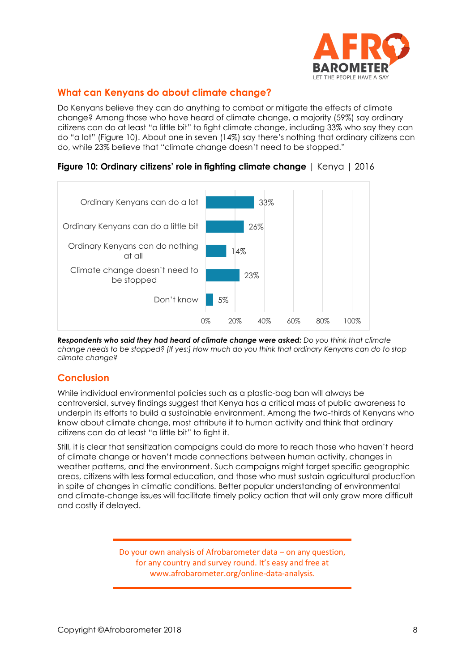

# **What can Kenyans do about climate change?**

Do Kenyans believe they can do anything to combat or mitigate the effects of climate change? Among those who have heard of climate change, a majority (59%) say ordinary citizens can do at least "a little bit" to fight climate change, including 33% who say they can do "a lot" (Figure 10). About one in seven (14%) say there's nothing that ordinary citizens can do, while 23% believe that "climate change doesn't need to be stopped."



**Figure 10: Ordinary citizens' role in fighting climate change** | Kenya | 2016

*Respondents who said they had heard of climate change were asked: Do you think that climate change needs to be stopped? [If yes:] How much do you think that ordinary Kenyans can do to stop climate change?*

## **Conclusion**

While individual environmental policies such as a plastic-bag ban will always be controversial, survey findings suggest that Kenya has a critical mass of public awareness to underpin its efforts to build a sustainable environment. Among the two-thirds of Kenyans who know about climate change, most attribute it to human activity and think that ordinary citizens can do at least "a little bit" to fight it.

Still, it is clear that sensitization campaigns could do more to reach those who haven't heard of climate change or haven't made connections between human activity, changes in weather patterns, and the environment. Such campaigns might target specific geographic areas, citizens with less formal education, and those who must sustain agricultural production in spite of changes in climatic conditions. Better popular understanding of environmental and climate-change issues will facilitate timely policy action that will only grow more difficult and costly if delayed.

> Do your own analysis of Afrobarometer data – on any question, for any country and survey round. It's easy and free at www.afrobarometer.org/online-data-analysis.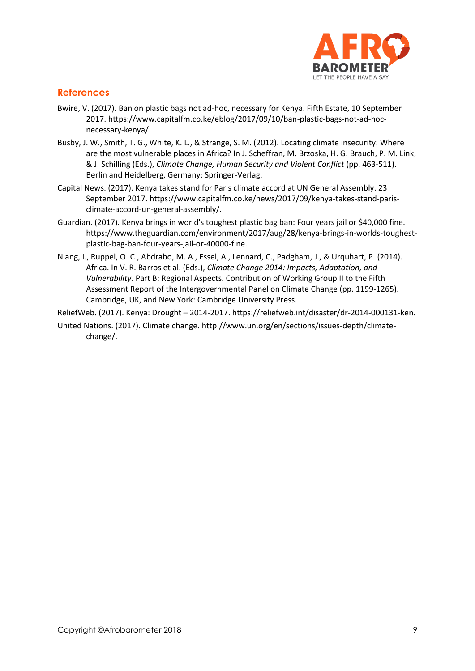

## **References**

- Bwire, V. (2017). Ban on plastic bags not ad-hoc, necessary for Kenya. Fifth Estate, 10 September 2017. https://www.capitalfm.co.ke/eblog/2017/09/10/ban-plastic-bags-not-ad-hocnecessary-kenya/.
- Busby, J. W., Smith, T. G., White, K. L., & Strange, S. M. (2012). Locating climate insecurity: Where are the most vulnerable places in Africa? In J. Scheffran, M. Brzoska, H. G. Brauch, P. M. Link, & J. Schilling (Eds.), *Climate Change, Human Security and Violent Conflict* (pp. 463-511). Berlin and Heidelberg, Germany: Springer-Verlag.
- Capital News. (2017). Kenya takes stand for Paris climate accord at UN General Assembly. 23 September 2017. https://www.capitalfm.co.ke/news/2017/09/kenya-takes-stand-parisclimate-accord-un-general-assembly/.
- Guardian. (2017). Kenya brings in world's toughest plastic bag ban: Four years jail or \$40,000 fine. [https://www.theguardian.com/environment/2017/aug/28/kenya-brings-in-worlds-toughest](https://www.theguardian.com/environment/2017/aug/28/kenya-brings-in-worlds-toughest-plastic-bag-ban-four-years-jail-or-40000-fine)[plastic-bag-ban-four-years-jail-or-40000-fine.](https://www.theguardian.com/environment/2017/aug/28/kenya-brings-in-worlds-toughest-plastic-bag-ban-four-years-jail-or-40000-fine)
- Niang, I., Ruppel, O. C., Abdrabo, M. A., Essel, A., Lennard, C., Padgham, J., & Urquhart, P. (2014). Africa. In V. R. Barros et al. (Eds.), *Climate Change 2014: Impacts, Adaptation, and Vulnerability.* Part B: Regional Aspects. Contribution of Working Group II to the Fifth Assessment Report of the Intergovernmental Panel on Climate Change (pp. 1199-1265). Cambridge, UK, and New York: Cambridge University Press.

ReliefWeb. (2017). Kenya: Drought – 2014-2017. https://reliefweb.int/disaster/dr-2014-000131-ken.

United Nations. (2017). Climate change. http://www.un.org/en/sections/issues-depth/climatechange/.